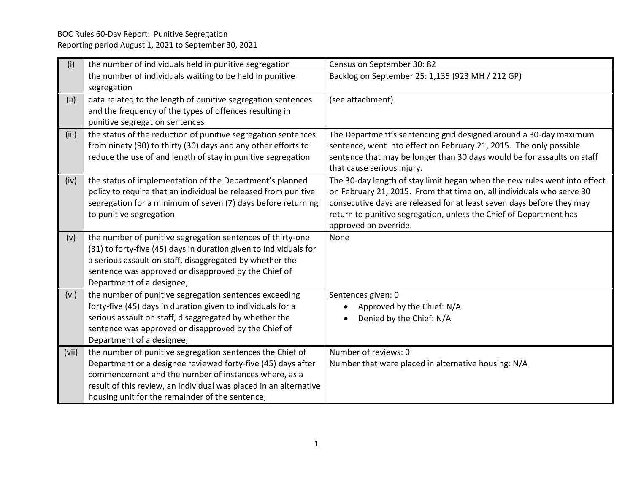| (i)   | the number of individuals held in punitive segregation                                                                                                                                                                                                                                                                                                                                                                                                                                                                                                      | Census on September 30: 82                                                                                                                                  |
|-------|-------------------------------------------------------------------------------------------------------------------------------------------------------------------------------------------------------------------------------------------------------------------------------------------------------------------------------------------------------------------------------------------------------------------------------------------------------------------------------------------------------------------------------------------------------------|-------------------------------------------------------------------------------------------------------------------------------------------------------------|
|       | the number of individuals waiting to be held in punitive                                                                                                                                                                                                                                                                                                                                                                                                                                                                                                    | Backlog on September 25: 1,135 (923 MH / 212 GP)                                                                                                            |
|       | segregation                                                                                                                                                                                                                                                                                                                                                                                                                                                                                                                                                 |                                                                                                                                                             |
| (ii)  | data related to the length of punitive segregation sentences                                                                                                                                                                                                                                                                                                                                                                                                                                                                                                | (see attachment)                                                                                                                                            |
|       | and the frequency of the types of offences resulting in                                                                                                                                                                                                                                                                                                                                                                                                                                                                                                     |                                                                                                                                                             |
|       | punitive segregation sentences                                                                                                                                                                                                                                                                                                                                                                                                                                                                                                                              |                                                                                                                                                             |
| (iii) | the status of the reduction of punitive segregation sentences                                                                                                                                                                                                                                                                                                                                                                                                                                                                                               | The Department's sentencing grid designed around a 30-day maximum                                                                                           |
|       | from ninety (90) to thirty (30) days and any other efforts to                                                                                                                                                                                                                                                                                                                                                                                                                                                                                               | sentence, went into effect on February 21, 2015. The only possible                                                                                          |
|       | reduce the use of and length of stay in punitive segregation                                                                                                                                                                                                                                                                                                                                                                                                                                                                                                | sentence that may be longer than 30 days would be for assaults on staff                                                                                     |
|       |                                                                                                                                                                                                                                                                                                                                                                                                                                                                                                                                                             | that cause serious injury.                                                                                                                                  |
| (iv)  | the status of implementation of the Department's planned<br>policy to require that an individual be released from punitive                                                                                                                                                                                                                                                                                                                                                                                                                                  | The 30-day length of stay limit began when the new rules went into effect<br>on February 21, 2015. From that time on, all individuals who serve 30          |
|       | segregation for a minimum of seven (7) days before returning                                                                                                                                                                                                                                                                                                                                                                                                                                                                                                | consecutive days are released for at least seven days before they may                                                                                       |
|       | to punitive segregation                                                                                                                                                                                                                                                                                                                                                                                                                                                                                                                                     | return to punitive segregation, unless the Chief of Department has                                                                                          |
|       |                                                                                                                                                                                                                                                                                                                                                                                                                                                                                                                                                             | approved an override.                                                                                                                                       |
| (v)   | the number of punitive segregation sentences of thirty-one                                                                                                                                                                                                                                                                                                                                                                                                                                                                                                  | None                                                                                                                                                        |
|       | (31) to forty-five (45) days in duration given to individuals for                                                                                                                                                                                                                                                                                                                                                                                                                                                                                           |                                                                                                                                                             |
|       | a serious assault on staff, disaggregated by whether the                                                                                                                                                                                                                                                                                                                                                                                                                                                                                                    |                                                                                                                                                             |
|       | sentence was approved or disapproved by the Chief of                                                                                                                                                                                                                                                                                                                                                                                                                                                                                                        |                                                                                                                                                             |
|       |                                                                                                                                                                                                                                                                                                                                                                                                                                                                                                                                                             |                                                                                                                                                             |
| (vi)  |                                                                                                                                                                                                                                                                                                                                                                                                                                                                                                                                                             |                                                                                                                                                             |
|       |                                                                                                                                                                                                                                                                                                                                                                                                                                                                                                                                                             |                                                                                                                                                             |
|       |                                                                                                                                                                                                                                                                                                                                                                                                                                                                                                                                                             |                                                                                                                                                             |
|       |                                                                                                                                                                                                                                                                                                                                                                                                                                                                                                                                                             |                                                                                                                                                             |
|       |                                                                                                                                                                                                                                                                                                                                                                                                                                                                                                                                                             |                                                                                                                                                             |
|       |                                                                                                                                                                                                                                                                                                                                                                                                                                                                                                                                                             |                                                                                                                                                             |
|       |                                                                                                                                                                                                                                                                                                                                                                                                                                                                                                                                                             |                                                                                                                                                             |
|       |                                                                                                                                                                                                                                                                                                                                                                                                                                                                                                                                                             |                                                                                                                                                             |
|       | housing unit for the remainder of the sentence;                                                                                                                                                                                                                                                                                                                                                                                                                                                                                                             |                                                                                                                                                             |
| (vii) | Department of a designee;<br>the number of punitive segregation sentences exceeding<br>forty-five (45) days in duration given to individuals for a<br>serious assault on staff, disaggregated by whether the<br>sentence was approved or disapproved by the Chief of<br>Department of a designee;<br>the number of punitive segregation sentences the Chief of<br>Department or a designee reviewed forty-five (45) days after<br>commencement and the number of instances where, as a<br>result of this review, an individual was placed in an alternative | Sentences given: 0<br>Approved by the Chief: N/A<br>Denied by the Chief: N/A<br>Number of reviews: 0<br>Number that were placed in alternative housing: N/A |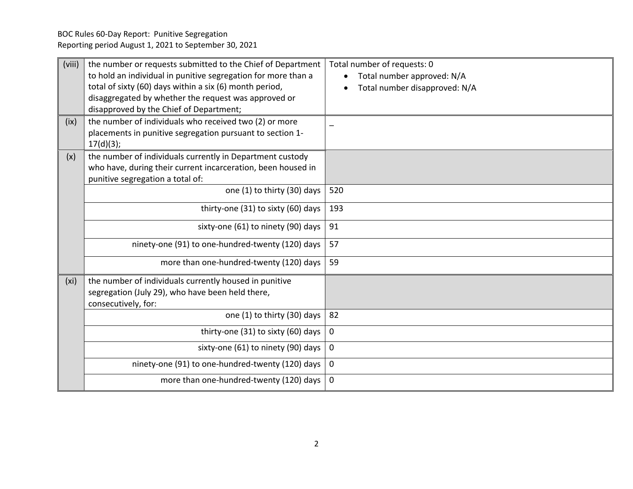BOC Rules 60-Day Report: Punitive Segregation Reporting period August 1, 2021 to September 30, 2021

| (viii)            | the number or requests submitted to the Chief of Department<br>to hold an individual in punitive segregation for more than a<br>total of sixty (60) days within a six (6) month period,<br>disaggregated by whether the request was approved or<br>disapproved by the Chief of Department; | Total number of requests: 0<br>Total number approved: N/A<br>Total number disapproved: N/A |
|-------------------|--------------------------------------------------------------------------------------------------------------------------------------------------------------------------------------------------------------------------------------------------------------------------------------------|--------------------------------------------------------------------------------------------|
| (ix)              | the number of individuals who received two (2) or more<br>placements in punitive segregation pursuant to section 1-<br>17(d)(3);                                                                                                                                                           |                                                                                            |
| (x)               | the number of individuals currently in Department custody<br>who have, during their current incarceration, been housed in<br>punitive segregation a total of:                                                                                                                              |                                                                                            |
|                   | one (1) to thirty (30) days                                                                                                                                                                                                                                                                | 520                                                                                        |
|                   | thirty-one (31) to sixty (60) days                                                                                                                                                                                                                                                         | 193                                                                                        |
|                   | sixty-one (61) to ninety (90) days                                                                                                                                                                                                                                                         | 91                                                                                         |
|                   | ninety-one (91) to one-hundred-twenty (120) days                                                                                                                                                                                                                                           | 57                                                                                         |
|                   | more than one-hundred-twenty (120) days                                                                                                                                                                                                                                                    | 59                                                                                         |
| (x <sub>i</sub> ) | the number of individuals currently housed in punitive<br>segregation (July 29), who have been held there,<br>consecutively, for:                                                                                                                                                          |                                                                                            |
|                   | one (1) to thirty (30) days                                                                                                                                                                                                                                                                | 82                                                                                         |
|                   | thirty-one (31) to sixty (60) days                                                                                                                                                                                                                                                         | 0                                                                                          |
|                   | sixty-one (61) to ninety (90) days                                                                                                                                                                                                                                                         | $\mathbf 0$                                                                                |
|                   | ninety-one (91) to one-hundred-twenty (120) days                                                                                                                                                                                                                                           | 0                                                                                          |
|                   | more than one-hundred-twenty (120) days                                                                                                                                                                                                                                                    | 0                                                                                          |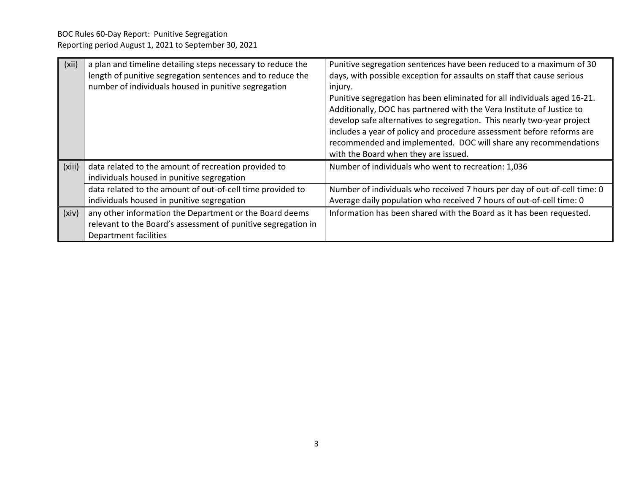| (xii)  | a plan and timeline detailing steps necessary to reduce the<br>length of punitive segregation sentences and to reduce the<br>number of individuals housed in punitive segregation | Punitive segregation sentences have been reduced to a maximum of 30<br>days, with possible exception for assaults on staff that cause serious<br>injury.<br>Punitive segregation has been eliminated for all individuals aged 16-21.<br>Additionally, DOC has partnered with the Vera Institute of Justice to<br>develop safe alternatives to segregation. This nearly two-year project<br>includes a year of policy and procedure assessment before reforms are<br>recommended and implemented. DOC will share any recommendations |
|--------|-----------------------------------------------------------------------------------------------------------------------------------------------------------------------------------|-------------------------------------------------------------------------------------------------------------------------------------------------------------------------------------------------------------------------------------------------------------------------------------------------------------------------------------------------------------------------------------------------------------------------------------------------------------------------------------------------------------------------------------|
| (xiii) | data related to the amount of recreation provided to<br>individuals housed in punitive segregation                                                                                | with the Board when they are issued.<br>Number of individuals who went to recreation: 1,036                                                                                                                                                                                                                                                                                                                                                                                                                                         |
|        | data related to the amount of out-of-cell time provided to<br>individuals housed in punitive segregation                                                                          | Number of individuals who received 7 hours per day of out-of-cell time: 0<br>Average daily population who received 7 hours of out-of-cell time: 0                                                                                                                                                                                                                                                                                                                                                                                   |
| (xiv)  | any other information the Department or the Board deems<br>relevant to the Board's assessment of punitive segregation in<br>Department facilities                                 | Information has been shared with the Board as it has been requested.                                                                                                                                                                                                                                                                                                                                                                                                                                                                |